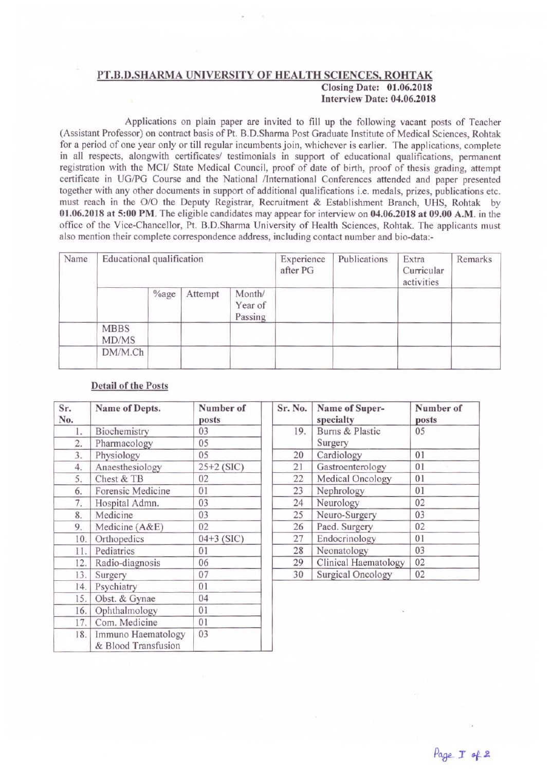## PT.B.D.SHARMA UNIVERSITY OF HEALTH SCIENCES, ROHTAK Closing Date: 01.06.2018 Interview Date: 04.06.2018

Applications on plain paper are invited to fill up the following vacant posts of Teacher (Assistant Professor) on contract basis of Pt. B.D.Shanna Post Graduate Institute of Medical Sciences, Rohtak for a period of one year only or till regular incumbents join, whichever is earlier. The applications, complete in all respects, alongwith certificates/ testimonials in support of educational qualifications, permanent registration with the MCI/ State Medical Council, proof of date of birth, proof of thesis grading, attempt certificate in UG/PG Course and the National /International Conferences attended and paper presented together with any other documents in support of additional qualifications i.e. medals, prizes, publications etc. must reach in the O/O the Deputy Registrar, Recruitment & Establishment Branch, UHS, Rohtak by 01.06.2018 at 5:00 PM. The eligible candidates may appear for interview on 04.06.2018 at 09.00 A.M. in the office of the Vice-Chancellor, Pt. B.D.Sharma University of Health Sciences, Rohtak. The applicants must also mention their complete correspondence address, including contact number and bio-data:-

| Name | Educational qualification |          |         |                              | Experience<br>after PG | Publications | Extra<br>Curricular<br>activities | Remarks |
|------|---------------------------|----------|---------|------------------------------|------------------------|--------------|-----------------------------------|---------|
|      |                           | $\%$ age | Attempt | Month/<br>Year of<br>Passing |                        |              |                                   |         |
|      | <b>MBBS</b><br>MD/MS      |          |         |                              |                        |              |                                   |         |
|      | DM/M.Ch                   |          |         |                              |                        |              |                                   |         |

## Detail of the Posts

| Sr.<br>No.         | Name of Depts.                            | Number of<br>posts | Sr. No. | Name of Super-<br>specialty | Number of<br>posts |
|--------------------|-------------------------------------------|--------------------|---------|-----------------------------|--------------------|
| Biochemistry<br>l. |                                           | 03                 | 19.     | Burns & Plastic             | 05                 |
| 2.                 | Pharmacology                              | 05                 |         | Surgery                     |                    |
| 3.                 | Physiology                                | 05                 | 20      | Cardiology                  | 01                 |
| 4.                 | Anaesthesiology                           | $25+2$ (SIC)       | 21      | Gastroenterology            | 01                 |
| 5.                 | Chest & TB                                | 02                 | 22      | Medical Oncology            | 01                 |
| 6.                 | Forensic Medicine                         | 01                 | 23      | Nephrology                  | 01                 |
| 7.                 | Hospital Admn.                            | 03                 | 24      | Neurology                   | 02                 |
| 8.                 | Medicine                                  | 03                 | 25      | Neuro-Surgery               | 03                 |
| 9.                 | Medicine (A&E)                            | 02                 | 26      | Paed. Surgery               | 02                 |
| 10.                | Orthopedics                               | $04+3$ (SIC)       | 27      | Endocrinology               | 01                 |
| 11.                | Pediatrics                                | 01                 | 28      | Neonatology                 | 03                 |
| 12.                | Radio-diagnosis                           | 06                 | 29      | Clinical Haematology        | 02                 |
| 13.                | Surgery                                   | 07                 | 30      | Surgical Oncology           | 02                 |
| 14.                | Psychiatry                                | 01                 |         |                             |                    |
|                    | 15. Obst. & Gynae                         | 04                 |         |                             |                    |
| 16.                | Ophthalmology                             | 01                 |         |                             |                    |
| 17.                | Com. Medicine                             | 01                 |         |                             |                    |
| 18.                | Immuno Haematology<br>& Blood Transfusion | 03                 |         |                             |                    |

| Sr. No. | Name of Super-<br>specialty | Number of<br>posts |  |
|---------|-----------------------------|--------------------|--|
| 19.     | Burns & Plastic<br>Surgery  | 05                 |  |
| 20      | Cardiology                  | 01                 |  |
| 21      | Gastroenterology            | 01                 |  |
| 22      | Medical Oncology            | 01                 |  |
| 23      | Nephrology                  | 01                 |  |
| 24      | Neurology                   | 02                 |  |
| 25      | Neuro-Surgery               | 03                 |  |
| 26      | Paed. Surgery               | 02                 |  |
| 27      | Endocrinology               | 01                 |  |
| 28      | Neonatology                 | 03                 |  |
| 29      | Clinical Haematology        | 02                 |  |
| 30      | <b>Surgical Oncology</b>    | 02                 |  |

•